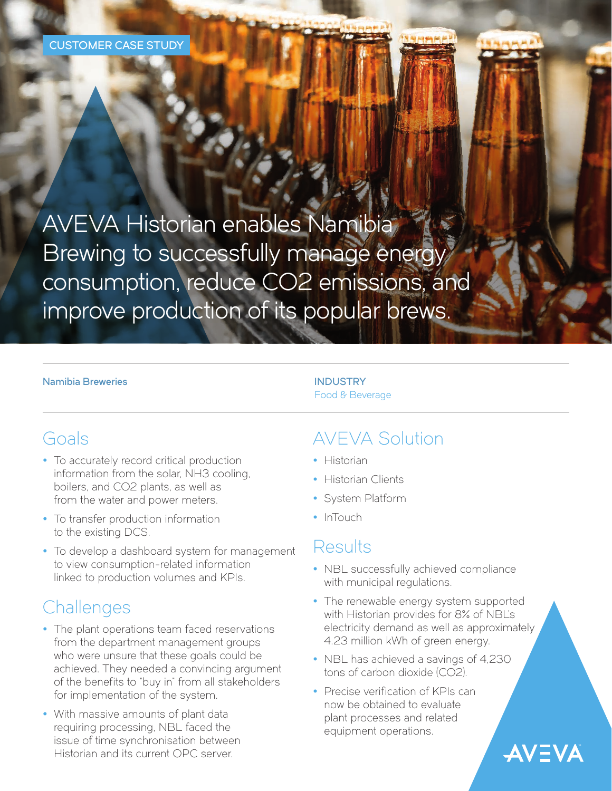#### CUSTOMER CASE STUDY

AVEVA Historian enables Namibia Brewing to successfully manage energy consumption, reduce CO2 emissions, and improve production of its popular brews.

#### Namibia Breweries **INDUSTRY**

# Food & Beverage

### Goals

- To accurately record critical production information from the solar, NH3 cooling, boilers, and CO2 plants, as well as from the water and power meters.
- To transfer production information to the existing DCS.
- To develop a dashboard system for management to view consumption-related information linked to production volumes and KPIs.

# **Challenges**

- The plant operations team faced reservations from the department management groups who were unsure that these goals could be achieved. They needed a convincing argument of the benefits to "buy in" from all stakeholders for implementation of the system.
- With massive amounts of plant data requiring processing, NBL faced the issue of time synchronisation between Historian and its current OPC server.

# AVEVA Solution

- Historian
- Historian Clients
- System Platform
- InTouch

### Results

- NBL successfully achieved compliance with municipal regulations.
- The renewable energy system supported with Historian provides for 8% of NBL's electricity demand as well as approximately 4.23 million kWh of green energy.

**AVEVA** 

- NBL has achieved a savings of 4,230 tons of carbon dioxide (CO2).
- Precise verification of KPIs can now be obtained to evaluate plant processes and related equipment operations.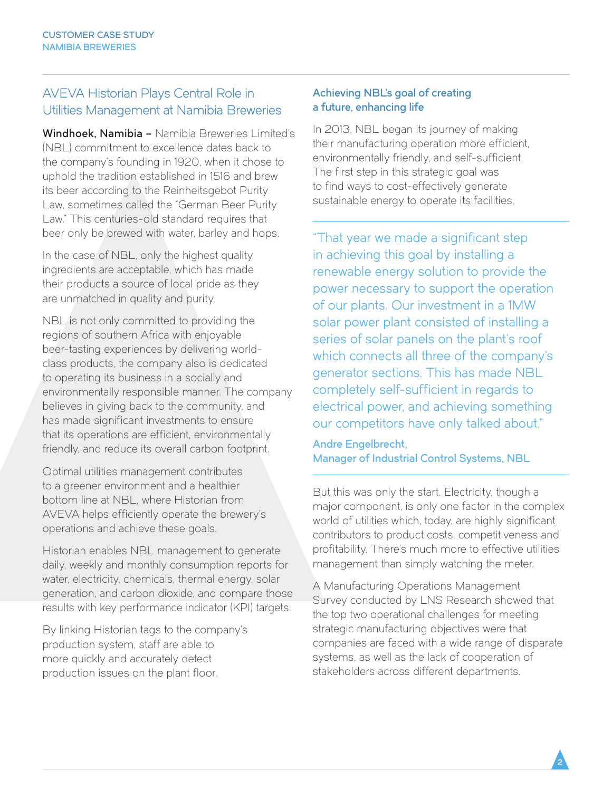#### AVEVA Historian Plays Central Role in Utilities Management at Namibia Breweries

Windhoek, Namibia – Namibia Breweries Limited's (NBL) commitment to excellence dates back to the company's founding in 1920, when it chose to uphold the tradition established in 1516 and brew its beer according to the Reinheitsgebot Purity Law, sometimes called the "German Beer Purity Law." This centuries-old standard requires that beer only be brewed with water, barley and hops.

In the case of NBL, only the highest quality ingredients are acceptable, which has made their products a source of local pride as they are unmatched in quality and purity.

NBL is not only committed to providing the regions of southern Africa with enjoyable beer-tasting experiences by delivering worldclass products, the company also is dedicated to operating its business in a socially and environmentally responsible manner. The company believes in giving back to the community, and has made significant investments to ensure that its operations are efficient, environmentally friendly, and reduce its overall carbon footprint.

Optimal utilities management contributes to a greener environment and a healthier bottom line at NBL, where Historian from AVEVA helps efficiently operate the brewery's operations and achieve these goals.

Historian enables NBL management to generate daily, weekly and monthly consumption reports for water, electricity, chemicals, thermal energy, solar generation, and carbon dioxide, and compare those results with key performance indicator (KPI) targets.

By linking Historian tags to the company's production system, staff are able to more quickly and accurately detect production issues on the plant floor.

#### Achieving NBL's goal of creating a future, enhancing life

In 2013, NBL began its journey of making their manufacturing operation more efficient, environmentally friendly, and self-sufficient. The first step in this strategic goal was to find ways to cost-effectively generate sustainable energy to operate its facilities.

"That year we made a significant step in achieving this goal by installing a renewable energy solution to provide the power necessary to support the operation of our plants. Our investment in a 1MW solar power plant consisted of installing a series of solar panels on the plant's roof which connects all three of the company's generator sections. This has made NBL completely self-sufficient in regards to electrical power, and achieving something our competitors have only talked about."

Andre Engelbrecht, Manager of Industrial Control Systems, NBL

But this was only the start. Electricity, though a major component, is only one factor in the complex world of utilities which, today, are highly significant contributors to product costs, competitiveness and profitability. There's much more to effective utilities management than simply watching the meter.

A Manufacturing Operations Management Survey conducted by LNS Research showed that the top two operational challenges for meeting strategic manufacturing objectives were that companies are faced with a wide range of disparate systems, as well as the lack of cooperation of stakeholders across different departments.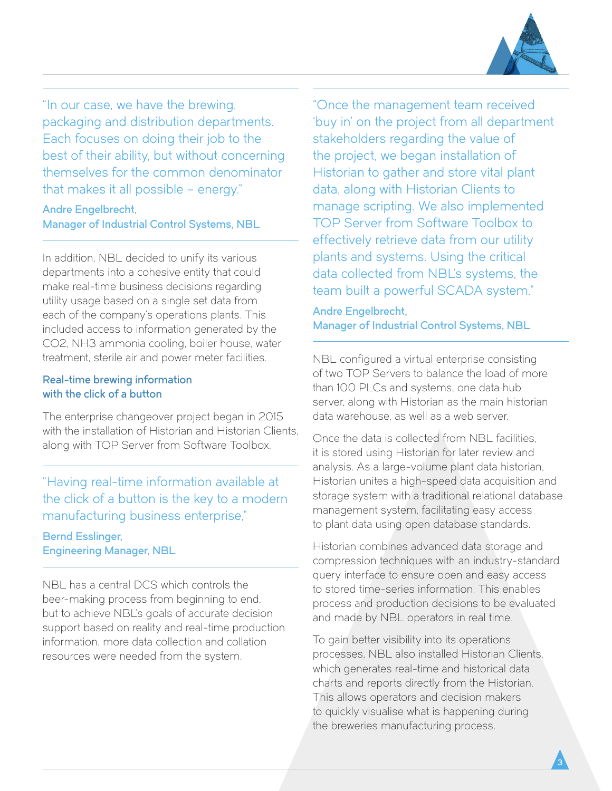

"In our case, we have the brewing, packaging and distribution departments. Each focuses on doing their job to the best of their ability, but without concerning themselves for the common denominator that makes it all possible – energy."

### Andre Engelbrecht,

Manager of Industrial Control Systems, NBL

In addition, NBL decided to unify its various departments into a cohesive entity that could make real-time business decisions regarding utility usage based on a single set data from each of the company's operations plants. This included access to information generated by the CO2, NH3 ammonia cooling, boiler house, water treatment, sterile air and power meter facilities.

#### Real-time brewing information with the click of a button

The enterprise changeover project began in 2015 with the installation of Historian and Historian Clients, along with TOP Server from Software Toolbox.

"Having real-time information available at the click of a button is the key to a modern manufacturing business enterprise," Bernd Esslinger, Engineering Manager, NBL

NBL has a central DCS which controls the beer-making process from beginning to end, but to achieve NBL's goals of accurate decision support based on reality and real-time production information, more data collection and collation resources were needed from the system.

"Once the management team received 'buy in' on the project from all department stakeholders regarding the value of the project, we began installation of Historian to gather and store vital plant data, along with Historian Clients to manage scripting. We also implemented TOP Server from Software Toolbox to effectively retrieve data from our utility plants and systems. Using the critical data collected from NBL's systems, the team built a powerful SCADA system."

Andre Engelbrecht, Manager of Industrial Control Systems, NBL

NBL configured a virtual enterprise consisting of two TOP Servers to balance the load of more than 100 PLCs and systems, one data hub server, along with Historian as the main historian data warehouse, as well as a web server.

Once the data is collected from NBL facilities it is stored using Historian for later review and analysis. As a large-volume plant data historian, Historian unites a high-speed data acquisition and storage system with a traditional relational database management system, facilitating easy access to plant data using open database standards.

Historian combines advanced data storage and compression techniques with an industry-standard query interface to ensure open and easy access to stored time-series information. This enables process and production decisions to be evaluated and made by NBL operators in real time.

To gain better visibility into its operations processes, NBL also installed Historian Clients, which generates real-time and historical data charts and reports directly from the Historian. This allows operators and decision makers to quickly visualise what is happening during the breweries manufacturing process.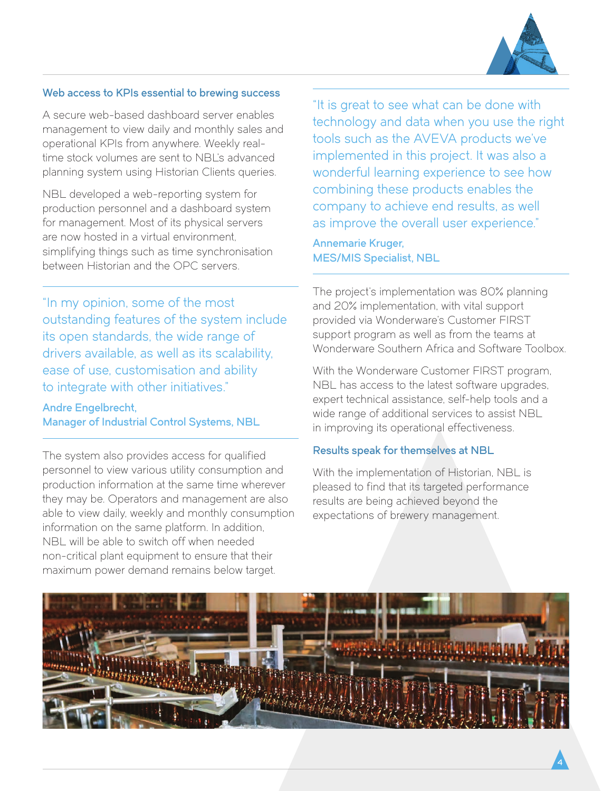

4

#### Web access to KPIs essential to brewing success

A secure web-based dashboard server enables management to view daily and monthly sales and operational KPIs from anywhere. Weekly realtime stock volumes are sent to NBL's advanced planning system using Historian Clients queries.

NBL developed a web-reporting system for production personnel and a dashboard system for management. Most of its physical servers are now hosted in a virtual environment, simplifying things such as time synchronisation between Historian and the OPC servers.

"In my opinion, some of the most outstanding features of the system include its open standards, the wide range of drivers available, as well as its scalability, ease of use, customisation and ability to integrate with other initiatives."

#### Andre Engelbrecht, Manager of Industrial Control Systems, NBL

The system also provides access for qualified personnel to view various utility consumption and production information at the same time wherever they may be. Operators and management are also able to view daily, weekly and monthly consumption information on the same platform. In addition, NBL will be able to switch off when needed non-critical plant equipment to ensure that their maximum power demand remains below target.

"It is great to see what can be done with technology and data when you use the right tools such as the AVEVA products we've implemented in this project. It was also a wonderful learning experience to see how combining these products enables the company to achieve end results, as well as improve the overall user experience."

Annemarie Kruger, MES/MIS Specialist, NBL

The project's implementation was 80% planning and 20% implementation, with vital support provided via Wonderware's Customer FIRST support program as well as from the teams at Wonderware Southern Africa and Software Toolbox.

With the Wonderware Customer FIRST program, NBL has access to the latest software upgrades, expert technical assistance, self-help tools and a wide range of additional services to assist NBL in improving its operational effectiveness.

#### Results speak for themselves at NBL

With the implementation of Historian, NBL is pleased to find that its targeted performance results are being achieved beyond the expectations of brewery management.